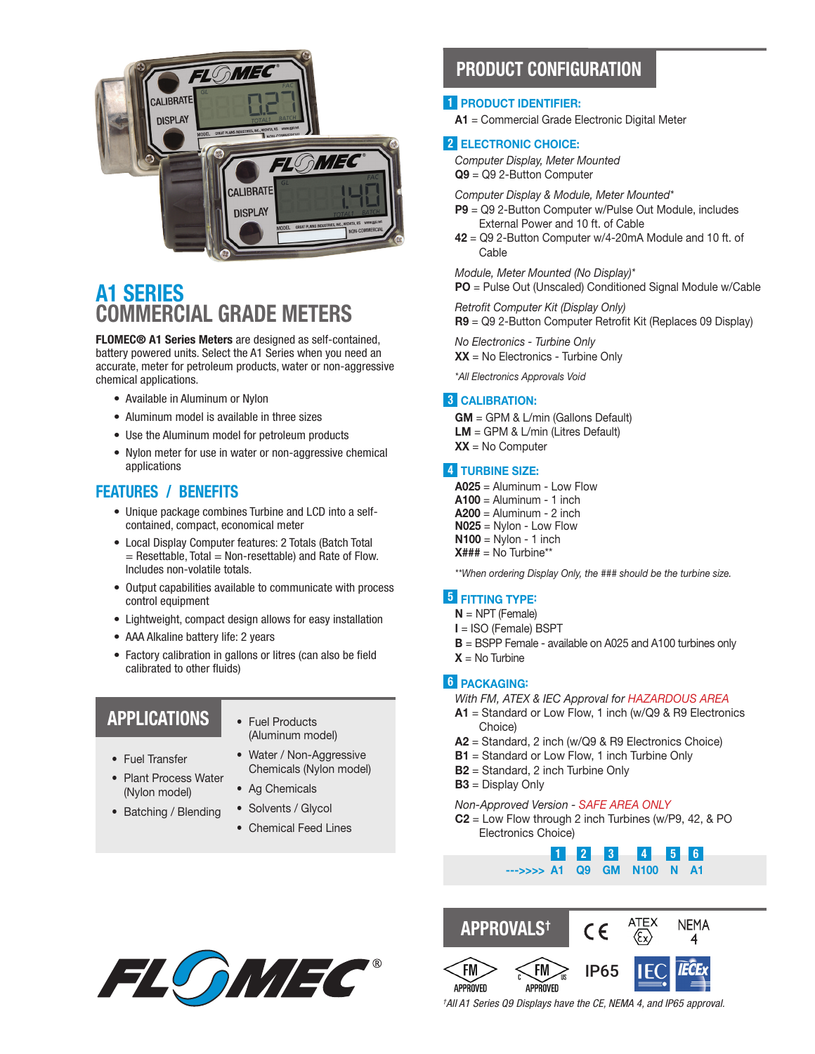

# A1 SERIES COMMERCIAL GRADE METERS

FLOMEC® A1 Series Meters are designed as self-contained, battery powered units. Select the A1 Series when you need an accurate, meter for petroleum products, water or non-aggressive chemical applications.

- Available in Aluminum or Nylon
- Aluminum model is available in three sizes
- Use the Aluminum model for petroleum products
- Nylon meter for use in water or non-aggressive chemical applications

### FEATURES / BENEFITS

- Unique package combines Turbine and LCD into a selfcontained, compact, economical meter
- Local Display Computer features: 2 Totals (Batch Total  $=$  Resettable, Total  $=$  Non-resettable) and Rate of Flow. Includes non-volatile totals.
- Output capabilities available to communicate with process control equipment
- Lightweight, compact design allows for easy installation
- AAA Alkaline battery life: 2 years
- Factory calibration in gallons or litres (can also be field calibrated to other fluids)

## APPLICATIONS

- Fuel Products (Aluminum model)
- Fuel Transfer
- Plant Process Water (Nylon model)
- Batching / Blending
- Water / Non-Aggressive
- Chemicals (Nylon model) • Ag Chemicals
- Solvents / Glycol
- Chemical Feed Lines

## PRODUCT CONFIGURATION

#### 1 PRODUCT IDENTIFIER:

A1 = Commercial Grade Electronic Digital Meter

#### 2 ELECTRONIC CHOICE:

*Computer Display, Meter Mounted* Q9 = Q9 2-Button Computer

*Computer Display & Module, Meter Mounted\**

- P9 = Q9 2-Button Computer w/Pulse Out Module, includes External Power and 10 ft. of Cable
- $42 = Q9$  2-Button Computer  $w/4$ -20mA Module and 10 ft. of Cable

*Module, Meter Mounted (No Display)\**

PO = Pulse Out (Unscaled) Conditioned Signal Module w/Cable

*Retrofit Computer Kit (Display Only)* R9 = Q9 2-Button Computer Retrofit Kit (Replaces 09 Display)

*No Electronics - Turbine Only* XX = No Electronics - Turbine Only

*\*All Electronics Approvals Void*

#### 3 CALIBRATION:

GM = GPM & L/min (Gallons Default) LM = GPM & L/min (Litres Default)  $XX = No$  Computer

#### **4** TURBINE SIZE:

A025 = Aluminum - Low Flow  $A100 =$  Aluminum - 1 inch  $A200 =$  Aluminum - 2 inch N025 = Nylon - Low Flow  $N100 = Nylon - 1 inch$  $X### = No$  Turbine\*\*

*\*\*When ordering Display Only, the ### should be the turbine size.*

#### **5** FITTING TYPE:

- $N = NPT$  (Female)
- I = ISO (Female) BSPT
- **B** = BSPP Female available on A025 and A100 turbines only
- $X = No$  Turbine

#### 6 PACKAGING:

- *With FM, ATEX & IEC Approval for HAZARDOUS AREA*
- $A1$  = Standard or Low Flow, 1 inch (w/Q9 & R9 Electronics Choice)
- A2 = Standard, 2 inch (w/Q9 & R9 Electronics Choice)
- **B1** = Standard or Low Flow, 1 inch Turbine Only
- B2 = Standard, 2 inch Turbine Only
- B3 = Display Only

#### *Non-Approved Version - SAFE AREA ONLY*

 $C2$  = Low Flow through 2 inch Turbines (w/P9, 42, & PO Electronics Choice)







*† All A1 Series Q9 Displays have the CE, NEMA 4, and IP65 approval.*